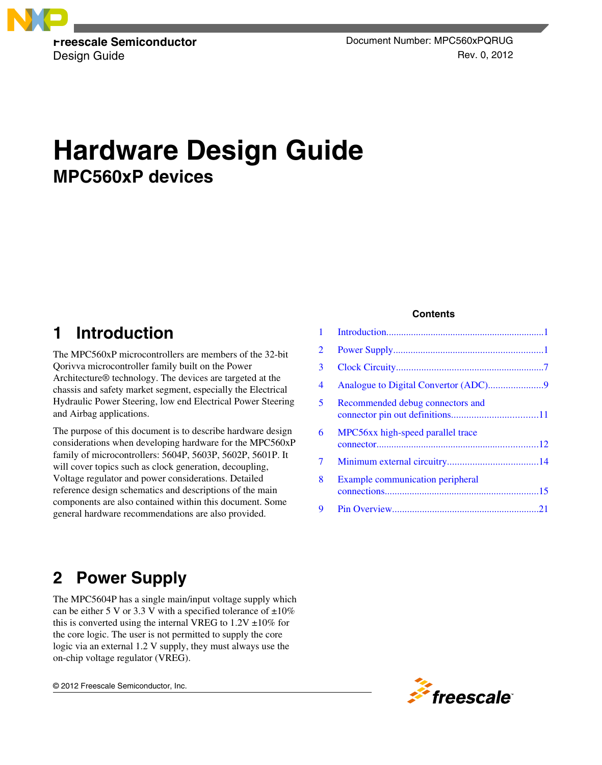

**Freescale Semiconductor Contracts** Document Number: MPC560xPQRUG Design Guide Rev. 0, 2012

# **Hardware Design Guide MPC560xP devices**

# **1 Introduction**

The MPC560xP microcontrollers are members of the 32-bit Qorivva microcontroller family built on the Power Architecture® technology. The devices are targeted at the chassis and safety market segment, especially the Electrical Hydraulic Power Steering, low end Electrical Power Steering and Airbag applications.

The purpose of this document is to describe hardware design considerations when developing hardware for the MPC560xP family of microcontrollers: 5604P, 5603P, 5602P, 5601P. It will cover topics such as clock generation, decoupling, Voltage regulator and power considerations. Detailed reference design schematics and descriptions of the main components are also contained within this document. Some general hardware recommendations are also provided.

### **Contents**

| 1              |                                         |  |
|----------------|-----------------------------------------|--|
| $\overline{2}$ |                                         |  |
| 3              |                                         |  |
| 4              |                                         |  |
| 5              | Recommended debug connectors and        |  |
| 6              | MPC56xx high-speed parallel trace       |  |
| 7              |                                         |  |
| 8              | <b>Example communication peripheral</b> |  |
| 9              |                                         |  |
|                |                                         |  |

# **2 Power Supply**

The MPC5604P has a single main/input voltage supply which can be either 5 V or 3.3 V with a specified tolerance of  $\pm 10\%$ this is converted using the internal VREG to  $1.2V \pm 10\%$  for the core logic. The user is not permitted to supply the core logic via an external 1.2 V supply, they must always use the on-chip voltage regulator (VREG).

© 2012 Freescale Semiconductor, Inc.

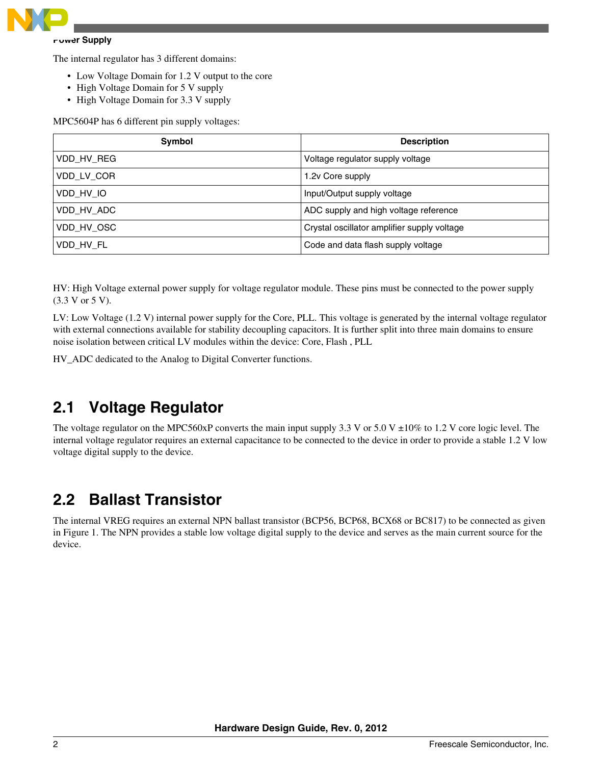

#### **Power Supply**

The internal regulator has 3 different domains:

- Low Voltage Domain for 1.2 V output to the core
- High Voltage Domain for 5 V supply
- High Voltage Domain for 3.3 V supply

MPC5604P has 6 different pin supply voltages:

| Symbol     | <b>Description</b>                          |
|------------|---------------------------------------------|
| VDD HV REG | Voltage regulator supply voltage            |
| VDD LV COR | 1.2y Core supply                            |
| VDD HV IO  | Input/Output supply voltage                 |
| VDD HV ADC | ADC supply and high voltage reference       |
| VDD HV OSC | Crystal oscillator amplifier supply voltage |
| VDD HV FL  | Code and data flash supply voltage          |

HV: High Voltage external power supply for voltage regulator module. These pins must be connected to the power supply (3.3 V or 5 V).

LV: Low Voltage (1.2 V) internal power supply for the Core, PLL. This voltage is generated by the internal voltage regulator with external connections available for stability decoupling capacitors. It is further split into three main domains to ensure noise isolation between critical LV modules within the device: Core, Flash , PLL

HV\_ADC dedicated to the Analog to Digital Converter functions.

# **2.1 Voltage Regulator**

The voltage regulator on the MPC560xP converts the main input supply 3.3 V or 5.0 V  $\pm 10\%$  to 1.2 V core logic level. The internal voltage regulator requires an external capacitance to be connected to the device in order to provide a stable 1.2 V low voltage digital supply to the device.

# **2.2 Ballast Transistor**

The internal VREG requires an external NPN ballast transistor (BCP56, BCP68, BCX68 or BC817) to be connected as given in Figure 1. The NPN provides a stable low voltage digital supply to the device and serves as the main current source for the device.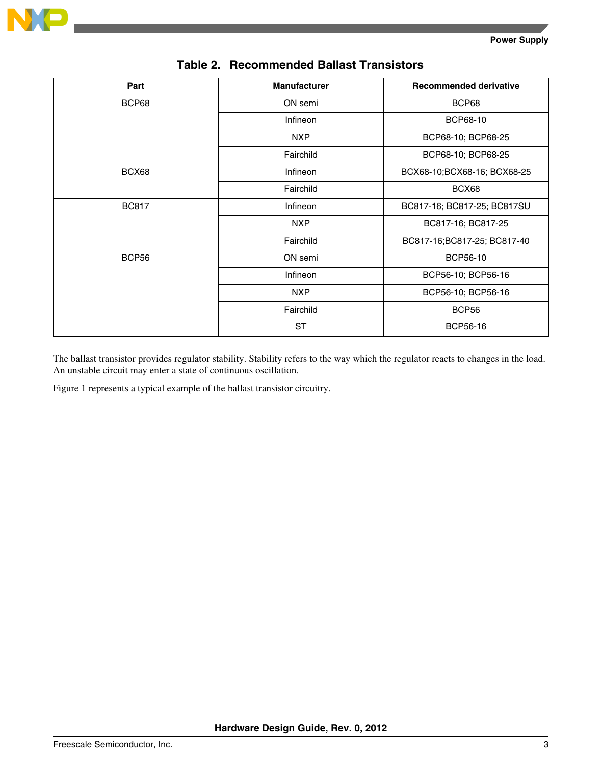

| Part         | <b>Manufacturer</b> | <b>Recommended derivative</b> |
|--------------|---------------------|-------------------------------|
| BCP68        | ON semi             | BCP68                         |
|              | <b>Infineon</b>     | BCP68-10                      |
|              | <b>NXP</b>          | BCP68-10; BCP68-25            |
|              | Fairchild           | BCP68-10; BCP68-25            |
| BCX68        | <b>Infineon</b>     | BCX68-10;BCX68-16; BCX68-25   |
|              | Fairchild           | BCX68                         |
| <b>BC817</b> | <b>Infineon</b>     | BC817-16; BC817-25; BC817SU   |
|              | <b>NXP</b>          | BC817-16; BC817-25            |
|              | Fairchild           | BC817-16;BC817-25; BC817-40   |
| BCP56        | ON semi             | <b>BCP56-10</b>               |
|              | Infineon            | BCP56-10; BCP56-16            |
|              | <b>NXP</b>          | BCP56-10; BCP56-16            |
|              | Fairchild           | BCP56                         |
|              | <b>ST</b>           | <b>BCP56-16</b>               |

### **Table 2. Recommended Ballast Transistors**

The ballast transistor provides regulator stability. Stability refers to the way which the regulator reacts to changes in the load. An unstable circuit may enter a state of continuous oscillation.

Figure 1 represents a typical example of the ballast transistor circuitry.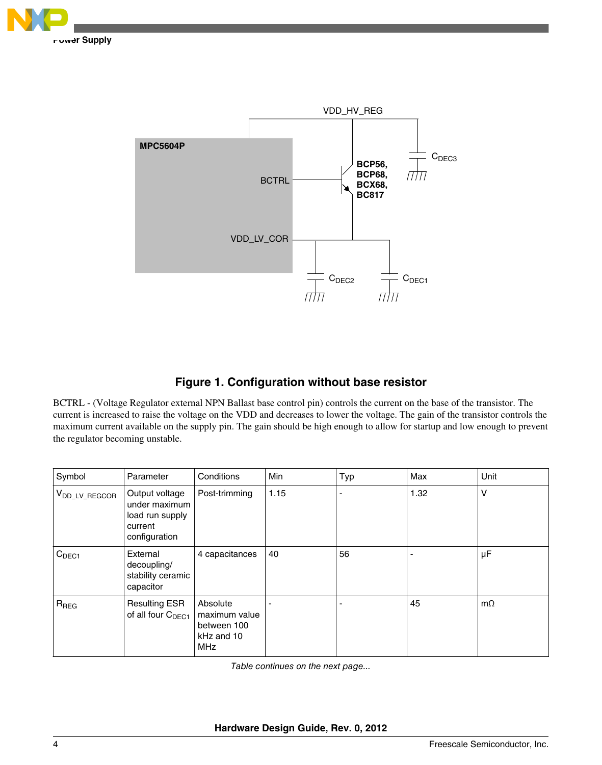



### **Figure 1. Configuration without base resistor**

BCTRL - (Voltage Regulator external NPN Ballast base control pin) controls the current on the base of the transistor. The current is increased to raise the voltage on the VDD and decreases to lower the voltage. The gain of the transistor controls the maximum current available on the supply pin. The gain should be high enough to allow for startup and low enough to prevent the regulator becoming unstable.

| Symbol                    | Parameter                                                                      | Conditions                                                           | <b>Min</b> | Typ            | Max  | Unit      |
|---------------------------|--------------------------------------------------------------------------------|----------------------------------------------------------------------|------------|----------------|------|-----------|
| V <sub>DD_LV_REGCOR</sub> | Output voltage<br>under maximum<br>load run supply<br>current<br>configuration | Post-trimming                                                        | 1.15       | $\blacksquare$ | 1.32 | v         |
| C <sub>DEC1</sub>         | External<br>decoupling/<br>stability ceramic<br>capacitor                      | 4 capacitances                                                       | 40         | 56             |      | μF        |
| $R_{\text{REG}}$          | <b>Resulting ESR</b><br>of all four C <sub>DEC1</sub>                          | Absolute<br>maximum value<br>between 100<br>kHz and 10<br><b>MHz</b> |            | ٠              | 45   | $m\Omega$ |

*Table continues on the next page...*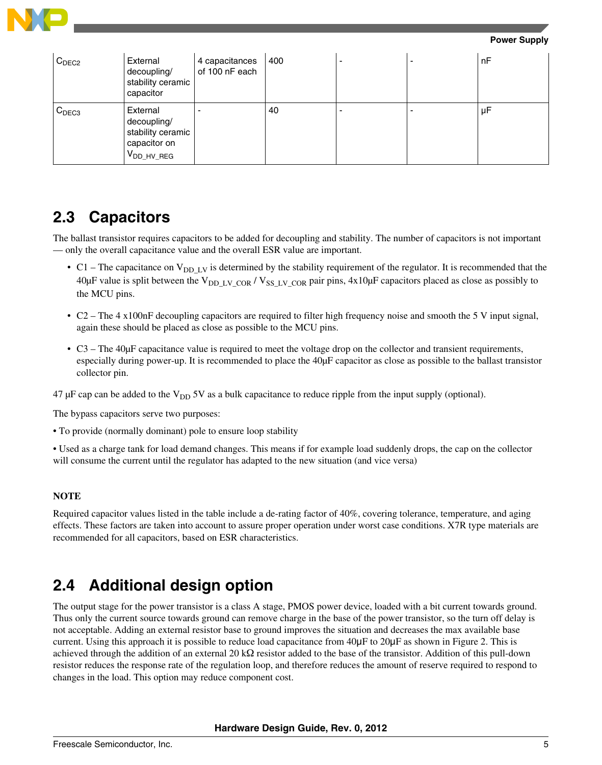

**Power Supply**

| C <sub>DEC2</sub> | External<br>decoupling/<br>stability ceramic<br>capacitor                              | 4 capacitances<br>of 100 nF each | 400 |  | nF |
|-------------------|----------------------------------------------------------------------------------------|----------------------------------|-----|--|----|
| C <sub>DEC3</sub> | External<br>decoupling/<br>stability ceramic<br>capacitor on<br>V <sub>DD_HV_REG</sub> |                                  | 40  |  | μF |

## **2.3 Capacitors**

The ballast transistor requires capacitors to be added for decoupling and stability. The number of capacitors is not important — only the overall capacitance value and the overall ESR value are important.

- C1 The capacitance on  $V_{DD-LV}$  is determined by the stability requirement of the regulator. It is recommended that the 40 $\mu$ F value is split between the V<sub>DD-LV</sub> cor / V<sub>SS-LV</sub> cor pair pins, 4x10 $\mu$ F capacitors placed as close as possibly to the MCU pins.
- C2 The 4 x100nF decoupling capacitors are required to filter high frequency noise and smooth the 5 V input signal, again these should be placed as close as possible to the MCU pins.
- C3 The 40µF capacitance value is required to meet the voltage drop on the collector and transient requirements, especially during power-up. It is recommended to place the 40µF capacitor as close as possible to the ballast transistor collector pin.

47  $\mu$ F cap can be added to the V<sub>DD</sub> 5V as a bulk capacitance to reduce ripple from the input supply (optional).

The bypass capacitors serve two purposes:

• To provide (normally dominant) pole to ensure loop stability

• Used as a charge tank for load demand changes. This means if for example load suddenly drops, the cap on the collector will consume the current until the regulator has adapted to the new situation (and vice versa)

#### **NOTE**

Required capacitor values listed in the table include a de-rating factor of 40%, covering tolerance, temperature, and aging effects. These factors are taken into account to assure proper operation under worst case conditions. X7R type materials are recommended for all capacitors, based on ESR characteristics.

## **2.4 Additional design option**

The output stage for the power transistor is a class A stage, PMOS power device, loaded with a bit current towards ground. Thus only the current source towards ground can remove charge in the base of the power transistor, so the turn off delay is not acceptable. Adding an external resistor base to ground improves the situation and decreases the max available base current. Using this approach it is possible to reduce load capacitance from 40μF to 20μF as shown in Figure 2. This is achieved through the addition of an external 20 k $\Omega$  resistor added to the base of the transistor. Addition of this pull-down resistor reduces the response rate of the regulation loop, and therefore reduces the amount of reserve required to respond to changes in the load. This option may reduce component cost.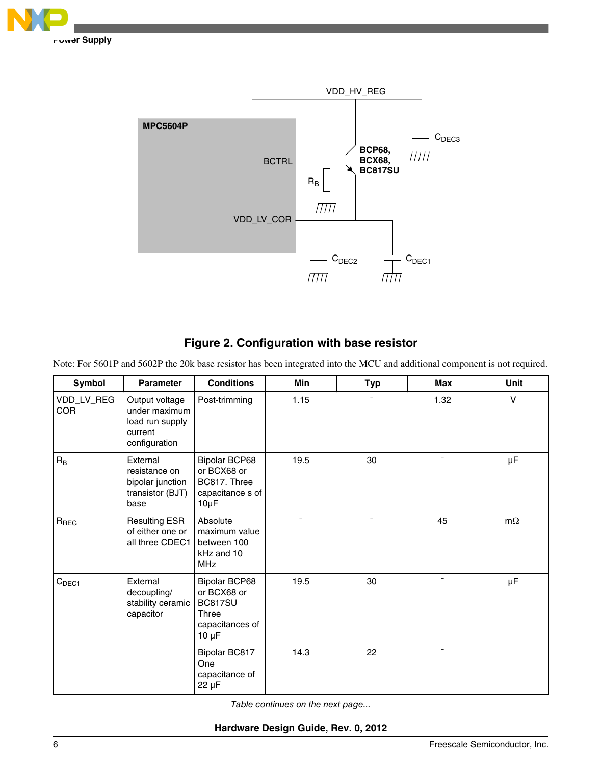



### **Figure 2. Configuration with base resistor**

Note: For 5601P and 5602P the 20k base resistor has been integrated into the MCU and additional component is not required.

| Symbol                   | <b>Parameter</b>                                                               | <b>Conditions</b>                                                                               | <b>Min</b>               | <b>Typ</b>               | <b>Max</b>               | <b>Unit</b> |
|--------------------------|--------------------------------------------------------------------------------|-------------------------------------------------------------------------------------------------|--------------------------|--------------------------|--------------------------|-------------|
| VDD_LV_REG<br><b>COR</b> | Output voltage<br>under maximum<br>load run supply<br>current<br>configuration | Post-trimming                                                                                   | 1.15                     |                          | 1.32                     | $\vee$      |
| $R_B$                    | External<br>resistance on<br>bipolar junction<br>transistor (BJT)<br>base      | <b>Bipolar BCP68</b><br>or BCX68 or<br>BC817. Three<br>capacitance s of<br>$10\mu F$            | 19.5                     | 30                       | $\overline{\phantom{a}}$ | μF          |
| $R_{REG}$                | <b>Resulting ESR</b><br>of either one or<br>all three CDEC1                    | Absolute<br>maximum value<br>between 100<br>kHz and 10<br><b>MHz</b>                            | $\overline{\phantom{0}}$ | $\overline{\phantom{0}}$ | 45                       | $m\Omega$   |
| C <sub>DEC1</sub>        | External<br>decoupling/<br>stability ceramic<br>capacitor                      | <b>Bipolar BCP68</b><br>or BCX68 or<br><b>BC817SU</b><br>Three<br>capacitances of<br>$10 \mu F$ | 19.5                     | 30                       | $\overline{\phantom{a}}$ | μF          |
|                          |                                                                                | Bipolar BC817<br>One<br>capacitance of<br>$22 \mu F$                                            | 14.3                     | 22                       |                          |             |

*Table continues on the next page...*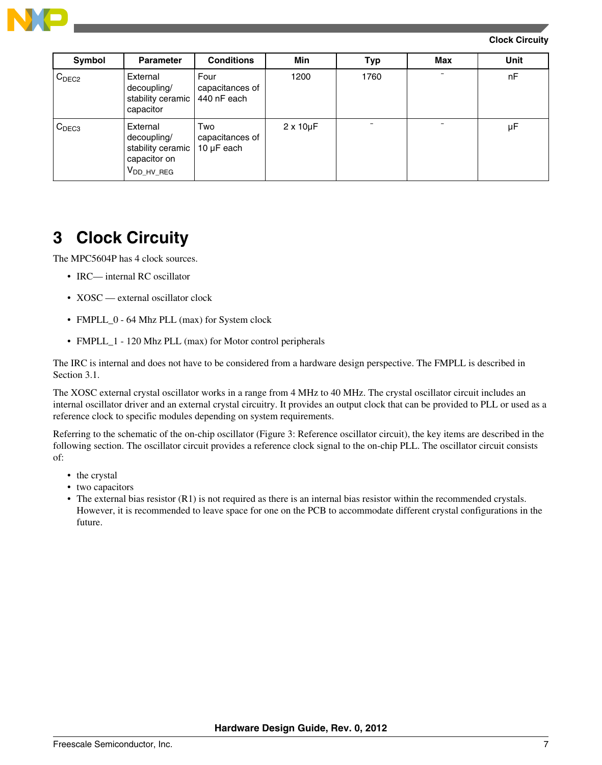<span id="page-6-0"></span>

| Symbol            | <b>Parameter</b>                                                                | <b>Conditions</b>                    | Min                 | <b>Typ</b> | Max | <b>Unit</b> |
|-------------------|---------------------------------------------------------------------------------|--------------------------------------|---------------------|------------|-----|-------------|
| C <sub>DEC2</sub> | External<br>decoupling/<br>stability ceramic   440 nF each<br>capacitor         | Four<br>capacitances of              | 1200                | 1760       |     | nF          |
| C <sub>DEC3</sub> | External<br>decoupling/<br>stability ceramic<br>capacitor on<br>$V_{DD_HV_REG}$ | Two<br>capacitances of<br>10 µF each | $2 \times 10 \mu F$ |            |     | μF          |

# **3 Clock Circuity**

The MPC5604P has 4 clock sources.

- IRC— internal RC oscillator
- XOSC external oscillator clock
- FMPLL\_0 64 Mhz PLL (max) for System clock
- FMPLL\_1 120 Mhz PLL (max) for Motor control peripherals

The IRC is internal and does not have to be considered from a hardware design perspective. The FMPLL is described in Section 3.1.

The XOSC external crystal oscillator works in a range from 4 MHz to 40 MHz. The crystal oscillator circuit includes an internal oscillator driver and an external crystal circuitry. It provides an output clock that can be provided to PLL or used as a reference clock to specific modules depending on system requirements.

Referring to the schematic of the on-chip oscillator (Figure 3: Reference oscillator circuit), the key items are described in the following section. The oscillator circuit provides a reference clock signal to the on-chip PLL. The oscillator circuit consists of:

- the crystal
- two capacitors
- The external bias resistor (R1) is not required as there is an internal bias resistor within the recommended crystals. However, it is recommended to leave space for one on the PCB to accommodate different crystal configurations in the future.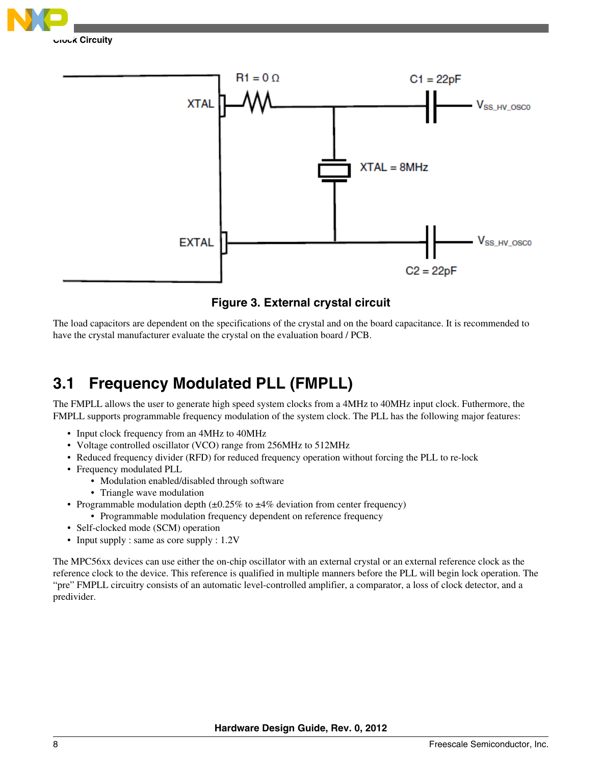



**Figure 3. External crystal circuit**

The load capacitors are dependent on the specifications of the crystal and on the board capacitance. It is recommended to have the crystal manufacturer evaluate the crystal on the evaluation board / PCB.

# **3.1 Frequency Modulated PLL (FMPLL)**

The FMPLL allows the user to generate high speed system clocks from a 4MHz to 40MHz input clock. Futhermore, the FMPLL supports programmable frequency modulation of the system clock. The PLL has the following major features:

- Input clock frequency from an 4MHz to 40MHz
- Voltage controlled oscillator (VCO) range from 256MHz to 512MHz
- Reduced frequency divider (RFD) for reduced frequency operation without forcing the PLL to re-lock
- Frequency modulated PLL
	- Modulation enabled/disabled through software
	- Triangle wave modulation
- Programmable modulation depth  $(\pm 0.25\%$  to  $\pm 4\%$  deviation from center frequency)
	- Programmable modulation frequency dependent on reference frequency
- Self-clocked mode (SCM) operation
- Input supply : same as core supply :  $1.2V$

The MPC56xx devices can use either the on-chip oscillator with an external crystal or an external reference clock as the reference clock to the device. This reference is qualified in multiple manners before the PLL will begin lock operation. The "pre" FMPLL circuitry consists of an automatic level-controlled amplifier, a comparator, a loss of clock detector, and a predivider.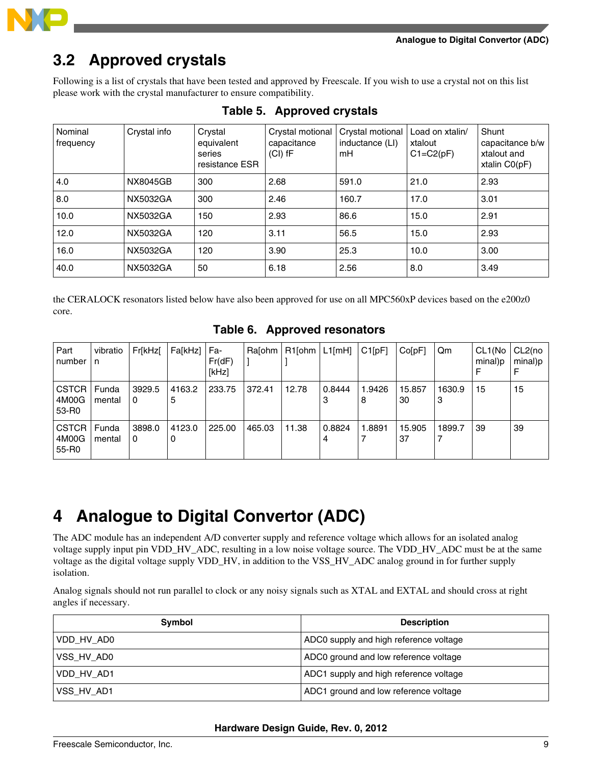<span id="page-8-0"></span>

# **3.2 Approved crystals**

Following is a list of crystals that have been tested and approved by Freescale. If you wish to use a crystal not on this list please work with the crystal manufacturer to ensure compatibility.

| Nominal<br>frequency | Crystal info | Crystal<br>equivalent<br>series<br>resistance ESR | Crystal motional<br>capacitance<br>$(Cl)$ fF | Crystal motional<br>inductance (LI)<br>mH | Load on xtalin/<br>xtalout<br>$C1 = C2(pF)$ | Shunt<br>capacitance b/w<br>xtalout and<br>xtalin $CO(pF)$ |
|----------------------|--------------|---------------------------------------------------|----------------------------------------------|-------------------------------------------|---------------------------------------------|------------------------------------------------------------|
| 4.0                  | NX8045GB     | 300                                               | 2.68                                         | 591.0                                     | 21.0                                        | 2.93                                                       |
| 8.0                  | NX5032GA     | 300                                               | 2.46                                         | 160.7                                     | 17.0                                        | 3.01                                                       |
| 10.0                 | NX5032GA     | 150                                               | 2.93                                         | 86.6                                      | 15.0                                        | 2.91                                                       |
| 12.0                 | NX5032GA     | 120                                               | 3.11                                         | 56.5                                      | 15.0                                        | 2.93                                                       |
| 16.0                 | NX5032GA     | 120                                               | 3.90                                         | 25.3                                      | 10.0                                        | 3.00                                                       |
| 40.0                 | NX5032GA     | 50                                                | 6.18                                         | 2.56                                      | 8.0                                         | 3.49                                                       |

### **Table 5. Approved crystals**

the CERALOCK resonators listed below have also been approved for use on all MPC560xP devices based on the e200z0 core.

|  | Table 6. Approved resonators |  |  |
|--|------------------------------|--|--|
|  |                              |  |  |

| Part<br>number                 | vibratio<br>$\mathsf{In}$ | Fr[kHz[     | Fa[kHz]     | Fa-<br>Fr(dF)<br>[kHz] | Ralohm I | R1[ohm <sup> </sup> | $L1$ [mH]   | C1[pF]      | ColpF1       | Qm          | CL1(No)<br>minal)p | ⊦CL2(no<br>minal)p |
|--------------------------------|---------------------------|-------------|-------------|------------------------|----------|---------------------|-------------|-------------|--------------|-------------|--------------------|--------------------|
| CSTCR  <br>4M00G<br>53-R0      | Funda<br>mental           | 3929.5<br>0 | 4163.2<br>5 | 233.75                 | 372.41   | 12.78               | 0.8444<br>د | 1.9426<br>8 | 15.857<br>30 | 1630.9<br>3 | 15                 | 15                 |
| <b>CSTCR</b><br>4M00G<br>55-R0 | Funda<br>mental           | 3898.0<br>0 | 4123.0<br>0 | 225.00                 | 465.03   | 11.38               | 0.8824      | 1.8891      | 15.905<br>37 | 1899.7      | 39                 | 39                 |

# **4 Analogue to Digital Convertor (ADC)**

The ADC module has an independent A/D converter supply and reference voltage which allows for an isolated analog voltage supply input pin VDD\_HV\_ADC, resulting in a low noise voltage source. The VDD\_HV\_ADC must be at the same voltage as the digital voltage supply VDD\_HV, in addition to the VSS\_HV\_ADC analog ground in for further supply isolation.

Analog signals should not run parallel to clock or any noisy signals such as XTAL and EXTAL and should cross at right angles if necessary.

| Symbol     | <b>Description</b>                     |
|------------|----------------------------------------|
| VDD HV AD0 | ADC0 supply and high reference voltage |
| VSS HV AD0 | ADC0 ground and low reference voltage  |
| VDD HV AD1 | ADC1 supply and high reference voltage |
| VSS HV AD1 | ADC1 ground and low reference voltage  |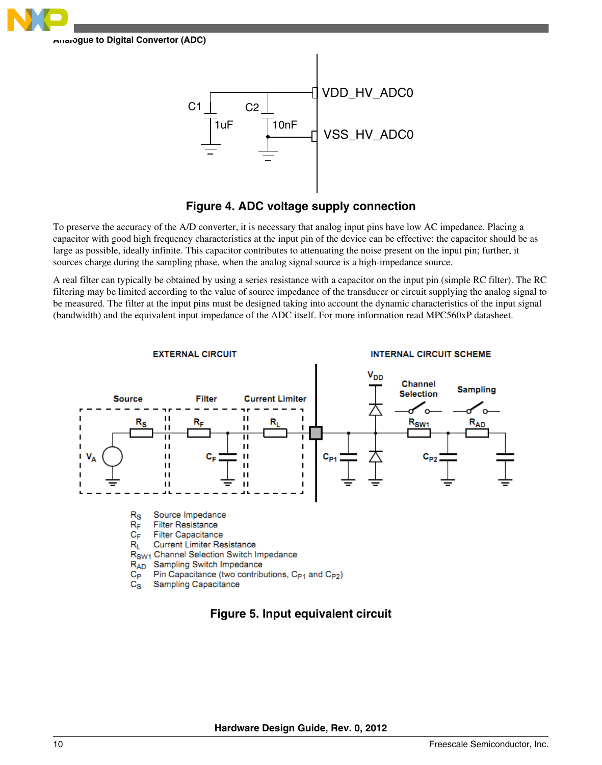



### **Figure 4. ADC voltage supply connection**

To preserve the accuracy of the A/D converter, it is necessary that analog input pins have low AC impedance. Placing a capacitor with good high frequency characteristics at the input pin of the device can be effective: the capacitor should be as large as possible, ideally infinite. This capacitor contributes to attenuating the noise present on the input pin; further, it sources charge during the sampling phase, when the analog signal source is a high-impedance source.

A real filter can typically be obtained by using a series resistance with a capacitor on the input pin (simple RC filter). The RC filtering may be limited according to the value of source impedance of the transducer or circuit supplying the analog signal to be measured. The filter at the input pins must be designed taking into account the dynamic characteristics of the input signal (bandwidth) and the equivalent input impedance of the ADC itself. For more information read MPC560xP datasheet.



### **Figure 5. Input equivalent circuit**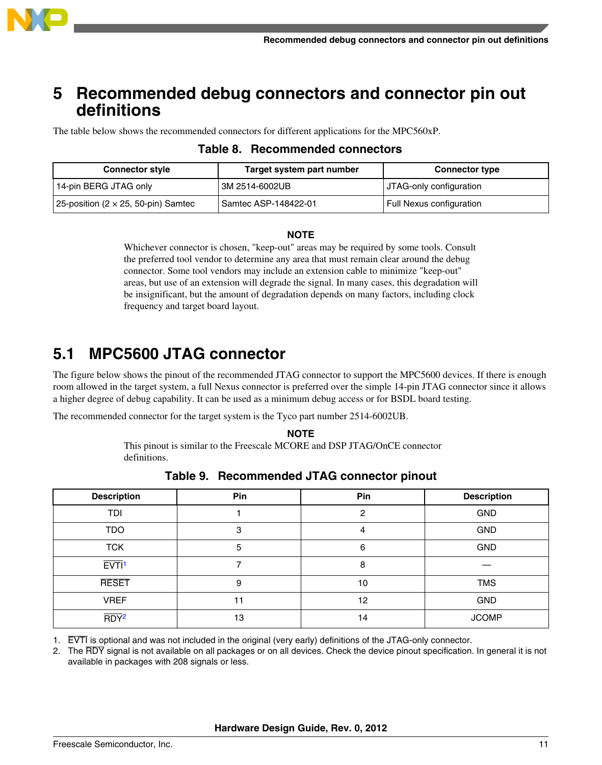<span id="page-10-0"></span>

## **5 Recommended debug connectors and connector pin out definitions**

The table below shows the recommended connectors for different applications for the MPC560xP.

| <b>Connector style</b>                     | Target system part number | <b>Connector type</b>    |
|--------------------------------------------|---------------------------|--------------------------|
| 14-pin BERG JTAG only                      | ' 3M 2514-6002UB          | JTAG-only configuration  |
| 25-position (2 $\times$ 25, 50-pin) Samtec | Samtec ASP-148422-01      | Full Nexus configuration |

## **Table 8. Recommended connectors**

#### **NOTE**

Whichever connector is chosen, "keep-out" areas may be required by some tools. Consult the preferred tool vendor to determine any area that must remain clear around the debug connector. Some tool vendors may include an extension cable to minimize "keep-out" areas, but use of an extension will degrade the signal. In many cases, this degradation will be insignificant, but the amount of degradation depends on many factors, including clock frequency and target board layout.

## **5.1 MPC5600 JTAG connector**

The figure below shows the pinout of the recommended JTAG connector to support the MPC5600 devices. If there is enough room allowed in the target system, a full Nexus connector is preferred over the simple 14-pin JTAG connector since it allows a higher degree of debug capability. It can be used as a minimum debug access or for BSDL board testing.

The recommended connector for the target system is the Tyco part number 2514-6002UB.

#### **NOTE**

This pinout is similar to the Freescale MCORE and DSP JTAG/OnCE connector definitions.

| <b>Description</b>  | Pin | Pin | <b>Description</b> |
|---------------------|-----|-----|--------------------|
| <b>TDI</b>          |     | 0   | <b>GND</b>         |
| <b>TDO</b>          | 3   | 4   | <b>GND</b>         |
| <b>TCK</b>          | 5   | 6   | <b>GND</b>         |
| $EVT1$ <sup>1</sup> |     | 8   |                    |
| <b>RESET</b>        | 9   | 10  | <b>TMS</b>         |
| <b>VREF</b>         | 11  | 12  | <b>GND</b>         |
| $\overline{RDY^2}$  | 13  | 14  | <b>JCOMP</b>       |

**Table 9. Recommended JTAG connector pinout**

1. EVTI is optional and was not included in the original (very early) definitions of the JTAG-only connector.

2. The RDY signal is not available on all packages or on all devices. Check the device pinout specification. In general it is not available in packages with 208 signals or less.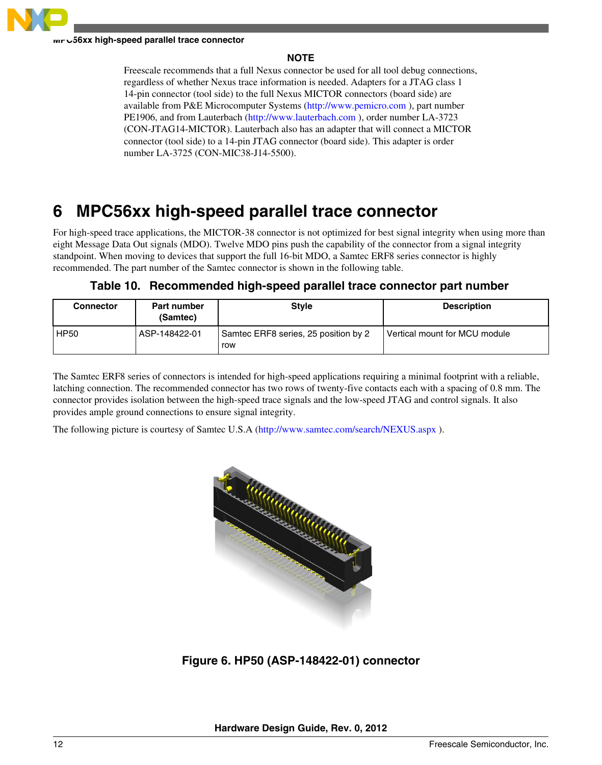<span id="page-11-0"></span>

#### **MPC56xx high-speed parallel trace connector**

### **NOTE**

Freescale recommends that a full Nexus connector be used for all tool debug connections, regardless of whether Nexus trace information is needed. Adapters for a JTAG class 1 14-pin connector (tool side) to the full Nexus MICTOR connectors (board side) are available from P&E Microcomputer Systems [\(http://www.pemicro.com](http://www.pemicro.com) ), part number PE1906, and from Lauterbach [\(http://www.lauterbach.com](http://www.lauterbach.com) ), order number LA-3723 (CON-JTAG14-MICTOR). Lauterbach also has an adapter that will connect a MICTOR connector (tool side) to a 14-pin JTAG connector (board side). This adapter is order number LA-3725 (CON-MIC38-J14-5500).

# **6 MPC56xx high-speed parallel trace connector**

For high-speed trace applications, the MICTOR-38 connector is not optimized for best signal integrity when using more than eight Message Data Out signals (MDO). Twelve MDO pins push the capability of the connector from a signal integrity standpoint. When moving to devices that support the full 16-bit MDO, a Samtec ERF8 series connector is highly recommended. The part number of the Samtec connector is shown in the following table.

|  | Table 10. Recommended high-speed parallel trace connector part number |  |  |  |  |
|--|-----------------------------------------------------------------------|--|--|--|--|
|--|-----------------------------------------------------------------------|--|--|--|--|

| <b>Connector</b> | <b>Part number</b><br>(Samtec) | <b>Style</b>                                | <b>Description</b>            |
|------------------|--------------------------------|---------------------------------------------|-------------------------------|
| <b>HP50</b>      | ASP-148422-01                  | Samtec ERF8 series, 25 position by 2<br>row | Vertical mount for MCU module |

The Samtec ERF8 series of connectors is intended for high-speed applications requiring a minimal footprint with a reliable, latching connection. The recommended connector has two rows of twenty-five contacts each with a spacing of 0.8 mm. The connector provides isolation between the high-speed trace signals and the low-speed JTAG and control signals. It also provides ample ground connections to ensure signal integrity.

The following picture is courtesy of Samtec U.S.A (<http://www.samtec.com/search/NEXUS.aspx>).



**Figure 6. HP50 (ASP-148422-01) connector**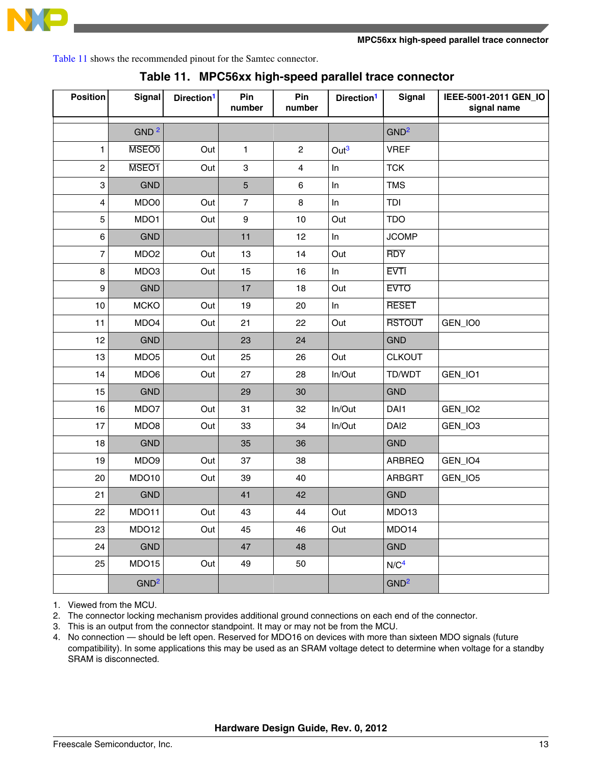

Table 11 shows the recommended pinout for the Samtec connector.

| <b>Position</b> | Signal           | Direction <sup>1</sup> | Pin<br>number  | Pin<br>number  | Direction <sup>1</sup> | Signal           | IEEE-5001-2011 GEN_IO<br>signal name |
|-----------------|------------------|------------------------|----------------|----------------|------------------------|------------------|--------------------------------------|
|                 | GND <sup>2</sup> |                        |                |                |                        | GND <sup>2</sup> |                                      |
| $\mathbf{1}$    | <b>MSEO0</b>     | Out                    | 1              | $\overline{c}$ | Out <sup>3</sup>       | <b>VREF</b>      |                                      |
| $\overline{c}$  | MSEO1            | Out                    | 3              | 4              | In                     | <b>TCK</b>       |                                      |
| 3               | <b>GND</b>       |                        | $\overline{5}$ | 6              | In                     | <b>TMS</b>       |                                      |
| 4               | MDO0             | Out                    | $\overline{7}$ | $\bf8$         | In                     | TDI              |                                      |
| 5               | MDO1             | Out                    | 9              | 10             | Out                    | <b>TDO</b>       |                                      |
| 6               | <b>GND</b>       |                        | 11             | 12             | In                     | <b>JCOMP</b>     |                                      |
| $\overline{7}$  | MDO <sub>2</sub> | Out                    | 13             | 14             | Out                    | <b>RDY</b>       |                                      |
| 8               | MDO3             | Out                    | 15             | 16             | In                     | <b>EVTI</b>      |                                      |
| 9               | <b>GND</b>       |                        | 17             | 18             | Out                    | <b>EVTO</b>      |                                      |
| 10              | <b>MCKO</b>      | Out                    | 19             | 20             | In                     | <b>RESET</b>     |                                      |
| 11              | MDO4             | Out                    | 21             | 22             | Out                    | <b>RSTOUT</b>    | GEN_IO0                              |
| 12              | <b>GND</b>       |                        | 23             | 24             |                        | <b>GND</b>       |                                      |
| 13              | MDO <sub>5</sub> | Out                    | 25             | 26             | Out                    | <b>CLKOUT</b>    |                                      |
| 14              | MDO6             | Out                    | 27             | 28             | In/Out                 | TD/WDT           | GEN_IO1                              |
| 15              | <b>GND</b>       |                        | 29             | 30             |                        | <b>GND</b>       |                                      |
| 16              | MDO7             | Out                    | 31             | 32             | In/Out                 | DAI1             | GEN_IO2                              |
| 17              | MDO8             | Out                    | 33             | 34             | In/Out                 | DAI <sub>2</sub> | GEN_IO3                              |
| 18              | <b>GND</b>       |                        | 35             | 36             |                        | <b>GND</b>       |                                      |
| 19              | MDO9             | Out                    | 37             | 38             |                        | <b>ARBREQ</b>    | GEN_IO4                              |
| 20              | MDO10            | Out                    | 39             | 40             |                        | <b>ARBGRT</b>    | GEN_IO5                              |
| 21              | <b>GND</b>       |                        | 41             | 42             |                        | <b>GND</b>       |                                      |
| 22              | MDO11            | Out                    | 43             | 44             | Out                    | MDO13            |                                      |
| 23              | MDO12            | Out                    | 45             | 46             | Out                    | MDO14            |                                      |
| 24              | <b>GND</b>       |                        | 47             | 48             |                        | <b>GND</b>       |                                      |
| 25              | MDO15            | Out                    | 49             | 50             |                        | N/C <sup>4</sup> |                                      |
|                 | GND <sup>2</sup> |                        |                |                |                        | GND <sup>2</sup> |                                      |

|  |  | Table 11. MPC56xx high-speed parallel trace connector |  |  |  |
|--|--|-------------------------------------------------------|--|--|--|
|--|--|-------------------------------------------------------|--|--|--|

1. Viewed from the MCU.

2. The connector locking mechanism provides additional ground connections on each end of the connector.

3. This is an output from the connector standpoint. It may or may not be from the MCU.

4. No connection — should be left open. Reserved for MDO16 on devices with more than sixteen MDO signals (future compatibility). In some applications this may be used as an SRAM voltage detect to determine when voltage for a standby SRAM is disconnected.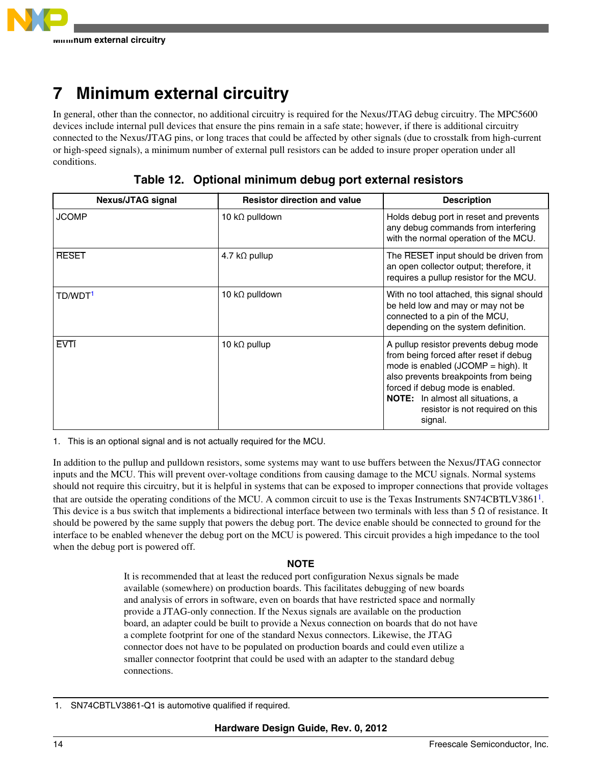<span id="page-13-0"></span>

# **7 Minimum external circuitry**

In general, other than the connector, no additional circuitry is required for the Nexus/JTAG debug circuitry. The MPC5600 devices include internal pull devices that ensure the pins remain in a safe state; however, if there is additional circuitry connected to the Nexus/JTAG pins, or long traces that could be affected by other signals (due to crosstalk from high-current or high-speed signals), a minimum number of external pull resistors can be added to insure proper operation under all conditions.

**Table 12. Optional minimum debug port external resistors**

| <b>Nexus/JTAG signal</b> | <b>Resistor direction and value</b> | <b>Description</b>                                                                                                                                                                                                                                                                              |
|--------------------------|-------------------------------------|-------------------------------------------------------------------------------------------------------------------------------------------------------------------------------------------------------------------------------------------------------------------------------------------------|
| <b>JCOMP</b>             | 10 k $\Omega$ pulldown              | Holds debug port in reset and prevents<br>any debug commands from interfering<br>with the normal operation of the MCU.                                                                                                                                                                          |
| <b>RESET</b>             | 4.7 k $\Omega$ pullup               | The RESET input should be driven from<br>an open collector output; therefore, it<br>requires a pullup resistor for the MCU.                                                                                                                                                                     |
| TD/WDT <sup>1</sup>      | 10 k $\Omega$ pulldown              | With no tool attached, this signal should<br>be held low and may or may not be<br>connected to a pin of the MCU,<br>depending on the system definition.                                                                                                                                         |
| <b>EVTI</b>              | 10 k $\Omega$ pullup                | A pullup resistor prevents debug mode<br>from being forced after reset if debug<br>mode is enabled $(JCOMP = high)$ . It<br>also prevents breakpoints from being<br>forced if debug mode is enabled.<br><b>NOTE:</b> In almost all situations, a<br>resistor is not required on this<br>signal. |

1. This is an optional signal and is not actually required for the MCU.

In addition to the pullup and pulldown resistors, some systems may want to use buffers between the Nexus/JTAG connector inputs and the MCU. This will prevent over-voltage conditions from causing damage to the MCU signals. Normal systems should not require this circuitry, but it is helpful in systems that can be exposed to improper connections that provide voltages that are outside the operating conditions of the MCU. A common circuit to use is the Texas Instruments SN74CBTLV3861<sup>1</sup>. This device is a bus switch that implements a bidirectional interface between two terminals with less than 5  $\Omega$  of resistance. It should be powered by the same supply that powers the debug port. The device enable should be connected to ground for the interface to be enabled whenever the debug port on the MCU is powered. This circuit provides a high impedance to the tool when the debug port is powered off.

### **NOTE**

It is recommended that at least the reduced port configuration Nexus signals be made available (somewhere) on production boards. This facilitates debugging of new boards and analysis of errors in software, even on boards that have restricted space and normally provide a JTAG-only connection. If the Nexus signals are available on the production board, an adapter could be built to provide a Nexus connection on boards that do not have a complete footprint for one of the standard Nexus connectors. Likewise, the JTAG connector does not have to be populated on production boards and could even utilize a smaller connector footprint that could be used with an adapter to the standard debug connections.

<sup>1.</sup> SN74CBTLV3861-Q1 is automotive qualified if required.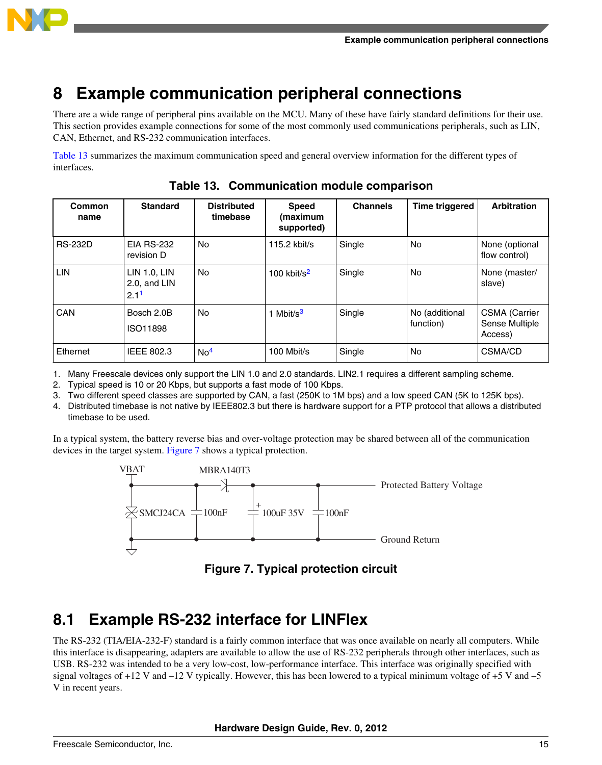<span id="page-14-0"></span>

# **8 Example communication peripheral connections**

There are a wide range of peripheral pins available on the MCU. Many of these have fairly standard definitions for their use. This section provides example connections for some of the most commonly used communications peripherals, such as LIN, CAN, Ethernet, and RS-232 communication interfaces.

Table 13 summarizes the maximum communication speed and general overview information for the different types of interfaces.

| Common<br>name | <b>Standard</b>                                  | <b>Distributed</b><br>timebase | <b>Speed</b><br>(maximum<br>supported) | <b>Channels</b> | <b>Time triggered</b>       | <b>Arbitration</b>                                |
|----------------|--------------------------------------------------|--------------------------------|----------------------------------------|-----------------|-----------------------------|---------------------------------------------------|
| <b>RS-232D</b> | <b>EIA RS-232</b><br>revision D                  | <b>No</b>                      | $115.2$ kbit/s                         | Single          | <b>No</b>                   | None (optional<br>flow control)                   |
| LIN            | LIN 1.0, LIN<br>2.0, and LIN<br>2.1 <sup>1</sup> | <b>No</b>                      | 100 kbit/ $s^2$                        | Single          | <b>No</b>                   | None (master/<br>slave)                           |
| <b>CAN</b>     | Bosch 2.0B<br>ISO11898                           | No                             | 1 Mbit/s $3$                           | Single          | No (additional<br>function) | <b>CSMA</b> (Carrier<br>Sense Multiple<br>Access) |
| Ethernet       | <b>IEEE 802.3</b>                                | No <sup>4</sup>                | 100 Mbit/s                             | Single          | No                          | CSMA/CD                                           |

**Table 13. Communication module comparison**

1. Many Freescale devices only support the LIN 1.0 and 2.0 standards. LIN2.1 requires a different sampling scheme.

2. Typical speed is 10 or 20 Kbps, but supports a fast mode of 100 Kbps.

3. Two different speed classes are supported by CAN, a fast (250K to 1M bps) and a low speed CAN (5K to 125K bps).

4. Distributed timebase is not native by IEEE802.3 but there is hardware support for a PTP protocol that allows a distributed timebase to be used.

In a typical system, the battery reverse bias and over-voltage protection may be shared between all of the communication devices in the target system. Figure 7 shows a typical protection.



**Figure 7. Typical protection circuit**

# **8.1 Example RS-232 interface for LINFlex**

The RS-232 (TIA/EIA-232-F) standard is a fairly common interface that was once available on nearly all computers. While this interface is disappearing, adapters are available to allow the use of RS-232 peripherals through other interfaces, such as USB. RS-232 was intended to be a very low-cost, low-performance interface. This interface was originally specified with signal voltages of  $+12$  V and  $-12$  V typically. However, this has been lowered to a typical minimum voltage of  $+5$  V and  $-5$ V in recent years.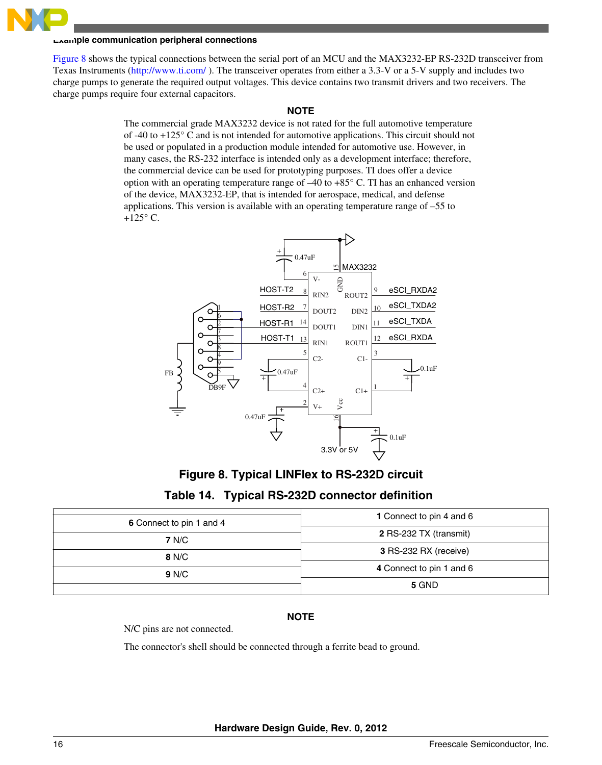#### **Example communication peripheral connections**

Figure 8 shows the typical connections between the serial port of an MCU and the MAX3232-EP RS-232D transceiver from Texas Instruments [\(http://www.ti.com/](http://www.ti.com/) ). The transceiver operates from either a 3.3-V or a 5-V supply and includes two charge pumps to generate the required output voltages. This device contains two transmit drivers and two receivers. The charge pumps require four external capacitors.

#### **NOTE**

The commercial grade MAX3232 device is not rated for the full automotive temperature of -40 to +125° C and is not intended for automotive applications. This circuit should not be used or populated in a production module intended for automotive use. However, in many cases, the RS-232 interface is intended only as a development interface; therefore, the commercial device can be used for prototyping purposes. TI does offer a device option with an operating temperature range of  $-40$  to  $+85^{\circ}$  C. TI has an enhanced version of the device, MAX3232-EP, that is intended for aerospace, medical, and defense applications. This version is available with an operating temperature range of –55 to  $+125^\circ$  C.



**Figure 8. Typical LINFlex to RS-232D circuit**

| Table 14. Typical RS-232D connector definition |  |
|------------------------------------------------|--|
|------------------------------------------------|--|

| 6 Connect to pin 1 and 4 | 1 Connect to pin 4 and 6 |  |
|--------------------------|--------------------------|--|
| 7 N/C                    | 2 RS-232 TX (transmit)   |  |
| 8 N/C                    | 3 RS-232 RX (receive)    |  |
| 9 N/C                    | 4 Connect to pin 1 and 6 |  |
|                          | 5 GND                    |  |

### **NOTE**

N/C pins are not connected.

The connector's shell should be connected through a ferrite bead to ground.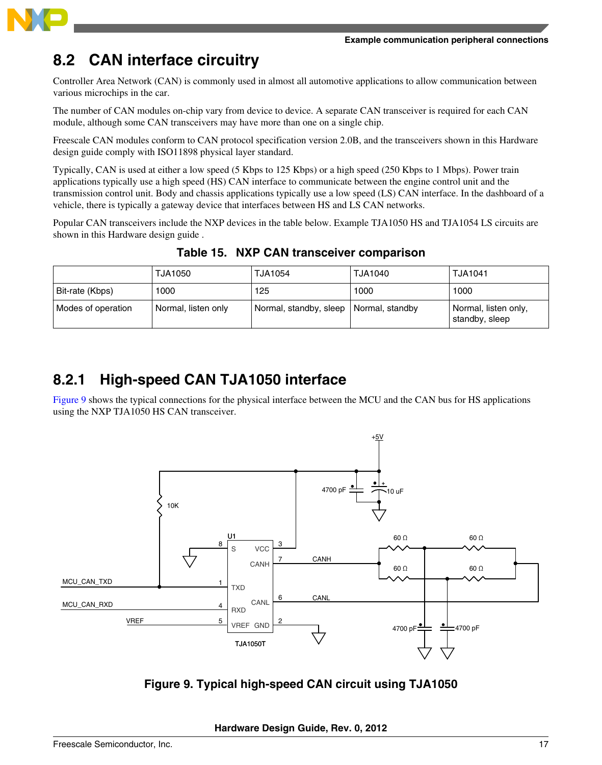

# **8.2 CAN interface circuitry**

Controller Area Network (CAN) is commonly used in almost all automotive applications to allow communication between various microchips in the car.

The number of CAN modules on-chip vary from device to device. A separate CAN transceiver is required for each CAN module, although some CAN transceivers may have more than one on a single chip.

Freescale CAN modules conform to CAN protocol specification version 2.0B, and the transceivers shown in this Hardware design guide comply with ISO11898 physical layer standard.

Typically, CAN is used at either a low speed (5 Kbps to 125 Kbps) or a high speed (250 Kbps to 1 Mbps). Power train applications typically use a high speed (HS) CAN interface to communicate between the engine control unit and the transmission control unit. Body and chassis applications typically use a low speed (LS) CAN interface. In the dashboard of a vehicle, there is typically a gateway device that interfaces between HS and LS CAN networks.

Popular CAN transceivers include the NXP devices in the table below. Example TJA1050 HS and TJA1054 LS circuits are shown in this Hardware design guide .

|                    | TJA1050             | <b>TJA1054</b>                           | TJA1040 | <b>TJA1041</b>                         |
|--------------------|---------------------|------------------------------------------|---------|----------------------------------------|
| Bit-rate (Kbps)    | 1000                | 125                                      | 1000    | 1000                                   |
| Modes of operation | Normal, listen only | Normal, standby, sleep   Normal, standby |         | Normal, listen only,<br>standby, sleep |

**Table 15. NXP CAN transceiver comparison**

## **8.2.1 High-speed CAN TJA1050 interface**

Figure 9 shows the typical connections for the physical interface between the MCU and the CAN bus for HS applications using the NXP TJA1050 HS CAN transceiver.



**Figure 9. Typical high-speed CAN circuit using TJA1050**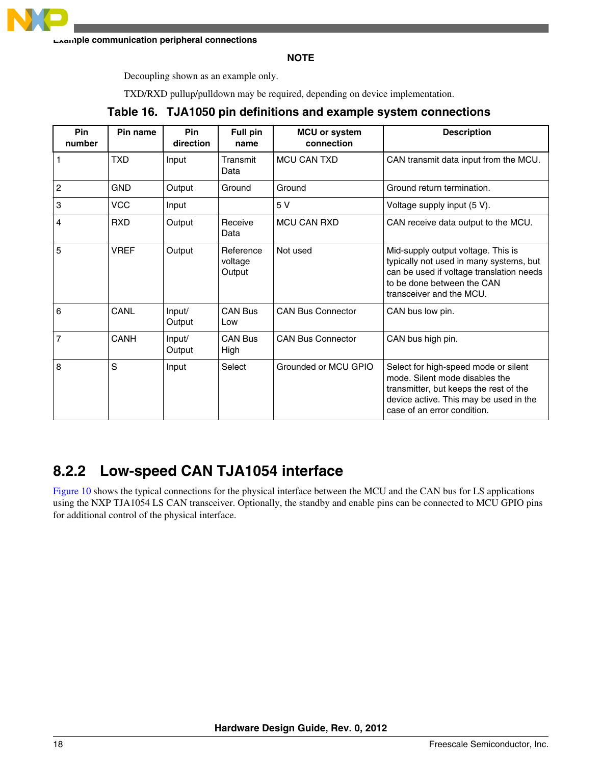

**Example communication peripheral connections**

**NOTE**

Decoupling shown as an example only.

TXD/RXD pullup/pulldown may be required, depending on device implementation.

| <b>Pin</b><br>number | Pin name    | <b>Pin</b><br>direction | Full pin<br>name               | <b>MCU or system</b><br>connection | <b>Description</b>                                                                                                                                                                        |
|----------------------|-------------|-------------------------|--------------------------------|------------------------------------|-------------------------------------------------------------------------------------------------------------------------------------------------------------------------------------------|
|                      | TXD         | Input                   | Transmit<br>Data               | <b>MCU CAN TXD</b>                 | CAN transmit data input from the MCU.                                                                                                                                                     |
| $\overline{2}$       | <b>GND</b>  | Output                  | Ground                         | Ground                             | Ground return termination.                                                                                                                                                                |
| 3                    | <b>VCC</b>  | Input                   |                                | 5 V                                | Voltage supply input (5 V).                                                                                                                                                               |
| 4                    | <b>RXD</b>  | Output                  | Receive<br>Data                | <b>MCU CAN RXD</b>                 | CAN receive data output to the MCU.                                                                                                                                                       |
| 5                    | <b>VREF</b> | Output                  | Reference<br>voltage<br>Output | Not used                           | Mid-supply output voltage. This is<br>typically not used in many systems, but<br>can be used if voltage translation needs<br>to be done between the CAN<br>transceiver and the MCU.       |
| 6                    | CANL        | Input/<br>Output        | <b>CAN Bus</b><br>Low          | <b>CAN Bus Connector</b>           | CAN bus low pin.                                                                                                                                                                          |
| 7                    | CANH        | Input/<br>Output        | <b>CAN Bus</b><br>High         | <b>CAN Bus Connector</b>           | CAN bus high pin.                                                                                                                                                                         |
| 8                    | S           | Input                   | Select                         | Grounded or MCU GPIO               | Select for high-speed mode or silent<br>mode. Silent mode disables the<br>transmitter, but keeps the rest of the<br>device active. This may be used in the<br>case of an error condition. |

### **Table 16. TJA1050 pin definitions and example system connections**

## **8.2.2 Low-speed CAN TJA1054 interface**

[Figure 10](#page-18-0) shows the typical connections for the physical interface between the MCU and the CAN bus for LS applications using the NXP TJA1054 LS CAN transceiver. Optionally, the standby and enable pins can be connected to MCU GPIO pins for additional control of the physical interface.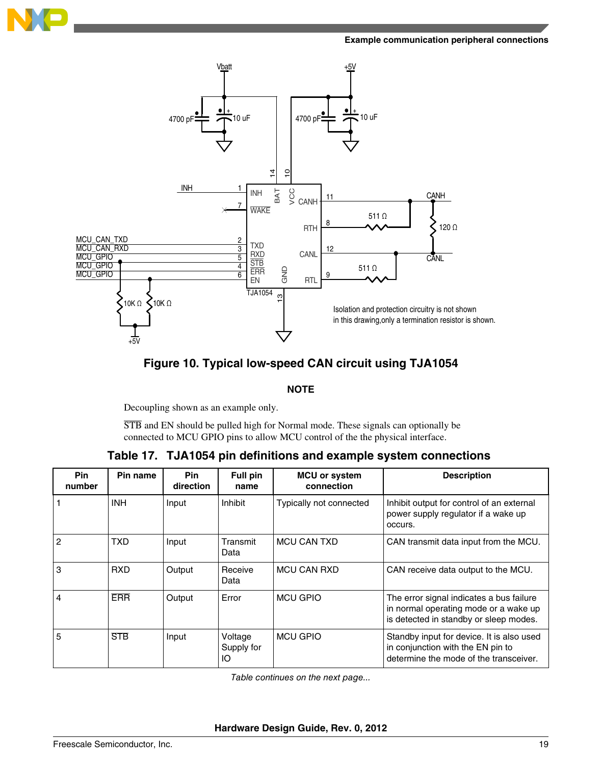<span id="page-18-0"></span>

#### **Example communication peripheral connections**





### **NOTE**

Decoupling shown as an example only.

STB and EN should be pulled high for Normal mode. These signals can optionally be connected to MCU GPIO pins to allow MCU control of the the physical interface.

### **Table 17. TJA1054 pin definitions and example system connections**

| <b>Pin</b><br>number | Pin name   | <b>Pin</b><br>direction | <b>Full pin</b><br>name     | <b>MCU or system</b><br>connection | <b>Description</b>                                                                                                          |
|----------------------|------------|-------------------------|-----------------------------|------------------------------------|-----------------------------------------------------------------------------------------------------------------------------|
|                      | <b>INH</b> | Input                   | Inhibit                     | Typically not connected            | Inhibit output for control of an external<br>power supply regulator if a wake up<br>occurs.                                 |
| $\overline{2}$       | TXD.       | Input                   | Transmit<br>Data            | <b>MCU CAN TXD</b>                 | CAN transmit data input from the MCU.                                                                                       |
| 3                    | <b>RXD</b> | Output                  | Receive<br>Data             | <b>MCU CAN RXD</b>                 | CAN receive data output to the MCU.                                                                                         |
| 4                    | <b>ERR</b> | Output                  | Error                       | <b>MCU GPIO</b>                    | The error signal indicates a bus failure<br>in normal operating mode or a wake up<br>is detected in standby or sleep modes. |
| 5                    | <b>STB</b> | Input                   | Voltage<br>Supply for<br>IO | <b>MCU GPIO</b>                    | Standby input for device. It is also used<br>in conjunction with the EN pin to<br>determine the mode of the transceiver.    |

*Table continues on the next page...*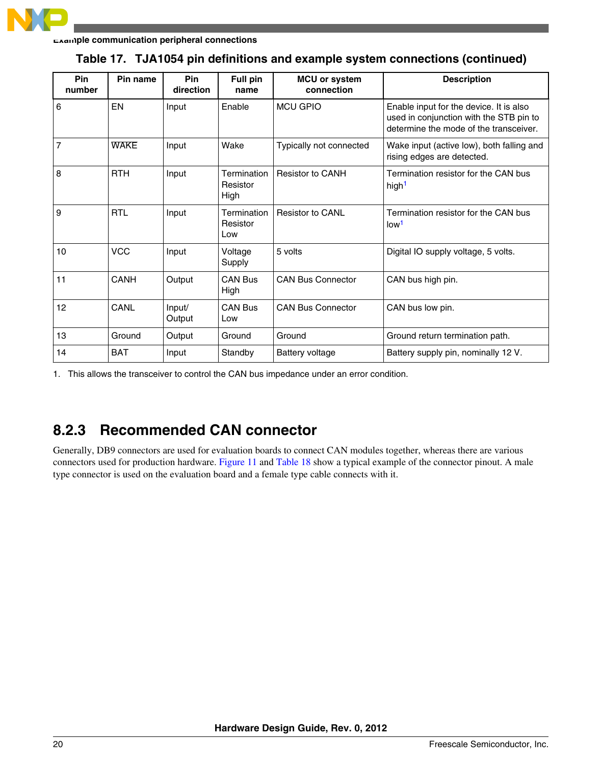

| Pin<br>number  | Pin name    | Pin<br>direction | Full pin<br>name                | <b>MCU or system</b><br>connection | <b>Description</b>                                                                                                           |
|----------------|-------------|------------------|---------------------------------|------------------------------------|------------------------------------------------------------------------------------------------------------------------------|
| 6              | EN          | Input            | Enable                          | <b>MCU GPIO</b>                    | Enable input for the device. It is also<br>used in conjunction with the STB pin to<br>determine the mode of the transceiver. |
| $\overline{7}$ | <b>WAKE</b> | Input            | Wake                            | Typically not connected            | Wake input (active low), both falling and<br>rising edges are detected.                                                      |
| 8              | <b>RTH</b>  | Input            | Termination<br>Resistor<br>High | <b>Resistor to CANH</b>            | Termination resistor for the CAN bus<br>high <sup>1</sup>                                                                    |
| 9              | <b>RTL</b>  | Input            | Termination<br>Resistor<br>Low  | <b>Resistor to CANL</b>            | Termination resistor for the CAN bus<br>low <sup>1</sup>                                                                     |
| 10             | <b>VCC</b>  | Input            | Voltage<br>Supply               | 5 volts                            | Digital IO supply voltage, 5 volts.                                                                                          |
| 11             | CANH        | Output           | <b>CAN Bus</b><br>High          | <b>CAN Bus Connector</b>           | CAN bus high pin.                                                                                                            |
| 12             | CANL        | Input/<br>Output | <b>CAN Bus</b><br>Low           | <b>CAN Bus Connector</b>           | CAN bus low pin.                                                                                                             |
| 13             | Ground      | Output           | Ground                          | Ground                             | Ground return termination path.                                                                                              |
| 14             | <b>BAT</b>  | Input            | Standby                         | Battery voltage                    | Battery supply pin, nominally 12 V.                                                                                          |

### **Table 17. TJA1054 pin definitions and example system connections (continued)**

1. This allows the transceiver to control the CAN bus impedance under an error condition.

## **8.2.3 Recommended CAN connector**

Generally, DB9 connectors are used for evaluation boards to connect CAN modules together, whereas there are various connectors used for production hardware. [Figure 11](#page-20-0) and [Table 18](#page-20-0) show a typical example of the connector pinout. A male type connector is used on the evaluation board and a female type cable connects with it.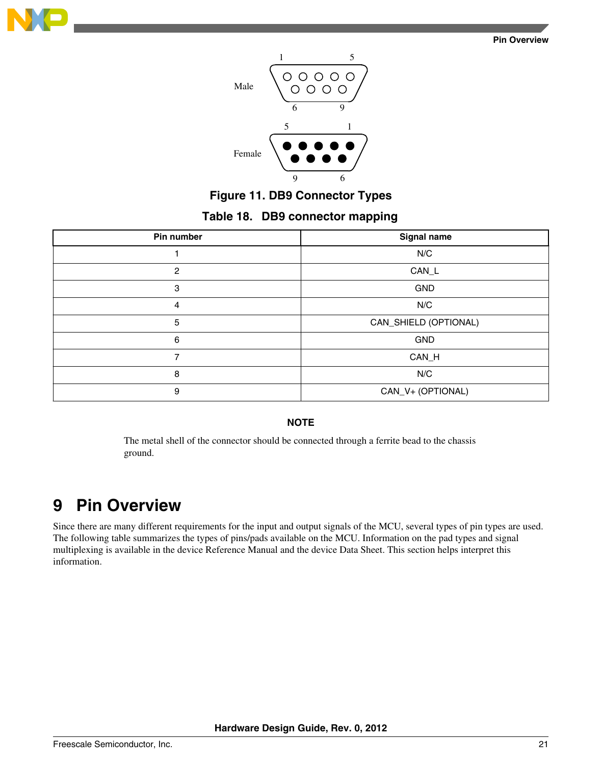<span id="page-20-0"></span>



### **Figure 11. DB9 Connector Types**

### **Table 18. DB9 connector mapping**

| Pin number | Signal name           |
|------------|-----------------------|
|            | N/C                   |
| 2          | CAN_L                 |
| 3          | <b>GND</b>            |
| 4          | N/C                   |
| 5          | CAN_SHIELD (OPTIONAL) |
| 6          | GND                   |
| ⇁          | CAN_H                 |
| 8          | N/C                   |
| 9          | CAN_V+ (OPTIONAL)     |

### **NOTE**

The metal shell of the connector should be connected through a ferrite bead to the chassis ground.

# **9 Pin Overview**

Since there are many different requirements for the input and output signals of the MCU, several types of pin types are used. The following table summarizes the types of pins/pads available on the MCU. Information on the pad types and signal multiplexing is available in the device Reference Manual and the device Data Sheet. This section helps interpret this information.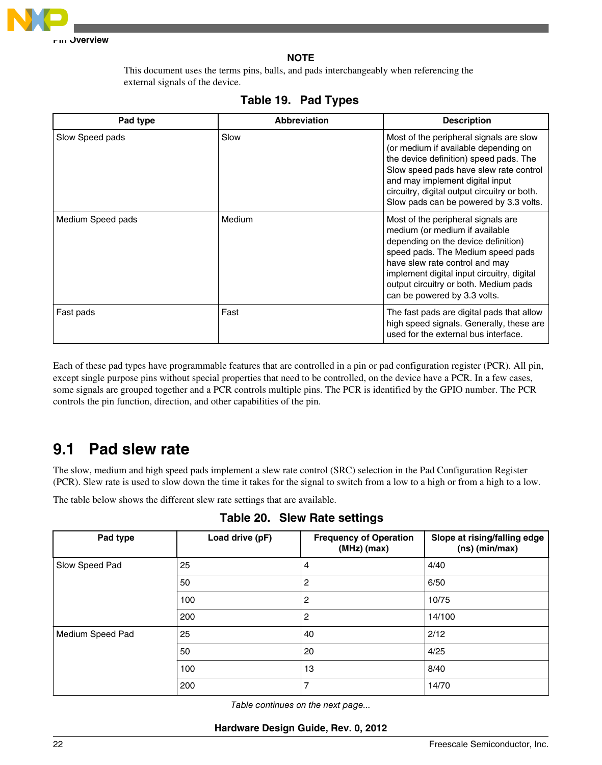

**NOTE**

This document uses the terms pins, balls, and pads interchangeably when referencing the external signals of the device.

| Pad type          | <b>Abbreviation</b> | <b>Description</b>                                                                                                                                                                                                                                                                                         |
|-------------------|---------------------|------------------------------------------------------------------------------------------------------------------------------------------------------------------------------------------------------------------------------------------------------------------------------------------------------------|
| Slow Speed pads   | Slow                | Most of the peripheral signals are slow<br>(or medium if available depending on<br>the device definition) speed pads. The<br>Slow speed pads have slew rate control<br>and may implement digital input<br>circuitry, digital output circuitry or both.<br>Slow pads can be powered by 3.3 volts.           |
| Medium Speed pads | Medium              | Most of the peripheral signals are.<br>medium (or medium if available<br>depending on the device definition)<br>speed pads. The Medium speed pads<br>have slew rate control and may<br>implement digital input circuitry, digital<br>output circuitry or both. Medium pads<br>can be powered by 3.3 volts. |
| Fast pads         | Fast                | The fast pads are digital pads that allow<br>high speed signals. Generally, these are<br>used for the external bus interface.                                                                                                                                                                              |

### **Table 19. Pad Types**

Each of these pad types have programmable features that are controlled in a pin or pad configuration register (PCR). All pin, except single purpose pins without special properties that need to be controlled, on the device have a PCR. In a few cases, some signals are grouped together and a PCR controls multiple pins. The PCR is identified by the GPIO number. The PCR controls the pin function, direction, and other capabilities of the pin.

# **9.1 Pad slew rate**

The slow, medium and high speed pads implement a slew rate control (SRC) selection in the Pad Configuration Register (PCR). Slew rate is used to slow down the time it takes for the signal to switch from a low to a high or from a high to a low.

The table below shows the different slew rate settings that are available.

| Pad type         | Load drive (pF) | <b>Frequency of Operation</b><br>$(MHz)$ (max) | Slope at rising/falling edge<br>$(ns)$ (min/max) |
|------------------|-----------------|------------------------------------------------|--------------------------------------------------|
| Slow Speed Pad   | 25              | 4                                              | 4/40                                             |
|                  | 50              | $\overline{2}$                                 | 6/50                                             |
|                  | 100             | $\overline{2}$                                 | 10/75                                            |
|                  | 200             | 2                                              | 14/100                                           |
| Medium Speed Pad | 25              | 40                                             | 2/12                                             |
|                  | 50              | 20                                             | 4/25                                             |
|                  | 100             | 13                                             | 8/40                                             |
|                  | 200             | $\overline{7}$                                 | 14/70                                            |

**Table 20. Slew Rate settings**

*Table continues on the next page...*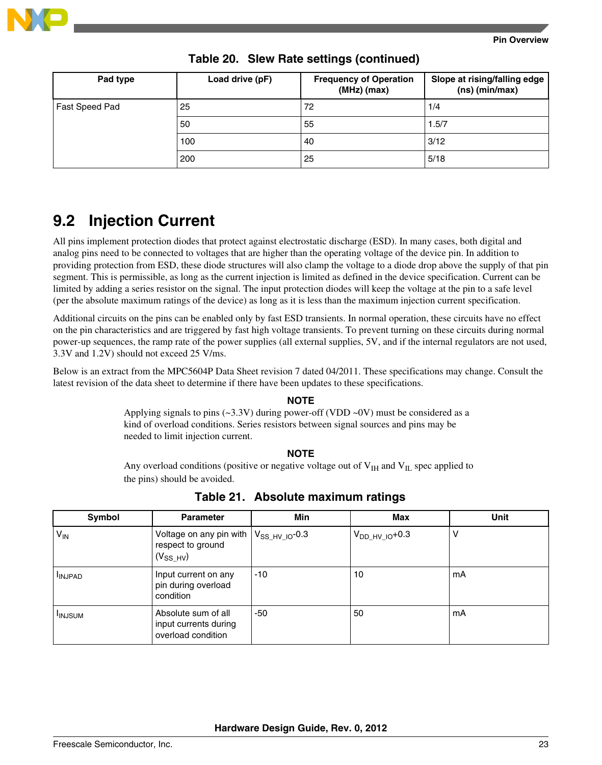

| Pad type       | Load drive (pF) | <b>Frequency of Operation</b><br>$(MHz)$ (max) | Slope at rising/falling edge<br>$(ns)$ (min/max) |
|----------------|-----------------|------------------------------------------------|--------------------------------------------------|
| Fast Speed Pad | 25              | 72                                             | 1/4                                              |
|                | 50              | 55                                             | 1.5/7                                            |
|                | 100             | 40                                             | 3/12                                             |
|                | 200             | 25                                             | 5/18                                             |

**Table 20. Slew Rate settings (continued)**

# **9.2 Injection Current**

All pins implement protection diodes that protect against electrostatic discharge (ESD). In many cases, both digital and analog pins need to be connected to voltages that are higher than the operating voltage of the device pin. In addition to providing protection from ESD, these diode structures will also clamp the voltage to a diode drop above the supply of that pin segment. This is permissible, as long as the current injection is limited as defined in the device specification. Current can be limited by adding a series resistor on the signal. The input protection diodes will keep the voltage at the pin to a safe level (per the absolute maximum ratings of the device) as long as it is less than the maximum injection current specification.

Additional circuits on the pins can be enabled only by fast ESD transients. In normal operation, these circuits have no effect on the pin characteristics and are triggered by fast high voltage transients. To prevent turning on these circuits during normal power-up sequences, the ramp rate of the power supplies (all external supplies, 5V, and if the internal regulators are not used, 3.3V and 1.2V) should not exceed 25 V/ms.

Below is an extract from the MPC5604P Data Sheet revision 7 dated 04/2011. These specifications may change. Consult the latest revision of the data sheet to determine if there have been updates to these specifications.

### **NOTE**

Applying signals to pins  $(\sim 3.3V)$  during power-off (VDD  $\sim$ 0V) must be considered as a kind of overload conditions. Series resistors between signal sources and pins may be needed to limit injection current.

#### **NOTE**

Any overload conditions (positive or negative voltage out of  $V_{\text{IH}}$  and  $V_{\text{IL}}$  spec applied to the pins) should be avoided.

| Symbol        | <b>Parameter</b>                                                   | <b>Min</b>          | Max                 | <b>Unit</b> |
|---------------|--------------------------------------------------------------------|---------------------|---------------------|-------------|
| $V_{IN}$      | Voltage on any pin with  <br>respect to ground<br>$(V_{SS HV})$    | $V_{SS HV IO}$ -0.3 | $V_{DD HV~IO}$ +0.3 | V           |
| <b>INJPAD</b> | Input current on any<br>pin during overload<br>condition           | $-10$               | 10                  | mA          |
| <b>INJSUM</b> | Absolute sum of all<br>input currents during<br>overload condition | -50                 | 50                  | mA          |

**Table 21. Absolute maximum ratings**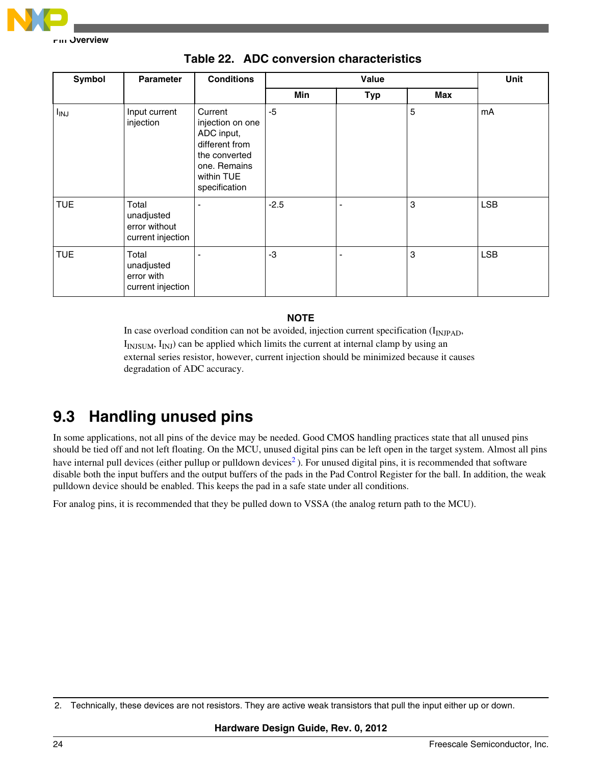

| Symbol<br><b>Parameter</b> |                                                           | <b>Conditions</b>                                                                                                           |        | Unit           |     |            |
|----------------------------|-----------------------------------------------------------|-----------------------------------------------------------------------------------------------------------------------------|--------|----------------|-----|------------|
|                            |                                                           |                                                                                                                             | Min    | <b>Typ</b>     | Max |            |
| <b>I<sub>INJ</sub></b>     | Input current<br>injection                                | Current<br>injection on one<br>ADC input,<br>different from<br>the converted<br>one. Remains<br>within TUE<br>specification | -5     |                | 5   | mA         |
| <b>TUE</b>                 | Total<br>unadjusted<br>error without<br>current injection |                                                                                                                             | $-2.5$ |                | 3   | <b>LSB</b> |
| <b>TUE</b>                 | Total<br>unadjusted<br>error with<br>current injection    |                                                                                                                             | -3     | $\overline{a}$ | 3   | <b>LSB</b> |

### **Table 22. ADC conversion characteristics**

### **NOTE**

In case overload condition can not be avoided, injection current specification  $(I_{\text{INIPAD}})$ ,  $I<sub>INJSUM</sub>, I<sub>INJ</sub>$ ) can be applied which limits the current at internal clamp by using an external series resistor, however, current injection should be minimized because it causes degradation of ADC accuracy.

# **9.3 Handling unused pins**

In some applications, not all pins of the device may be needed. Good CMOS handling practices state that all unused pins should be tied off and not left floating. On the MCU, unused digital pins can be left open in the target system. Almost all pins have internal pull devices (either pullup or pulldown devices<sup>2</sup>). For unused digital pins, it is recommended that software disable both the input buffers and the output buffers of the pads in the Pad Control Register for the ball. In addition, the weak pulldown device should be enabled. This keeps the pad in a safe state under all conditions.

For analog pins, it is recommended that they be pulled down to VSSA (the analog return path to the MCU).

<sup>2.</sup> Technically, these devices are not resistors. They are active weak transistors that pull the input either up or down.